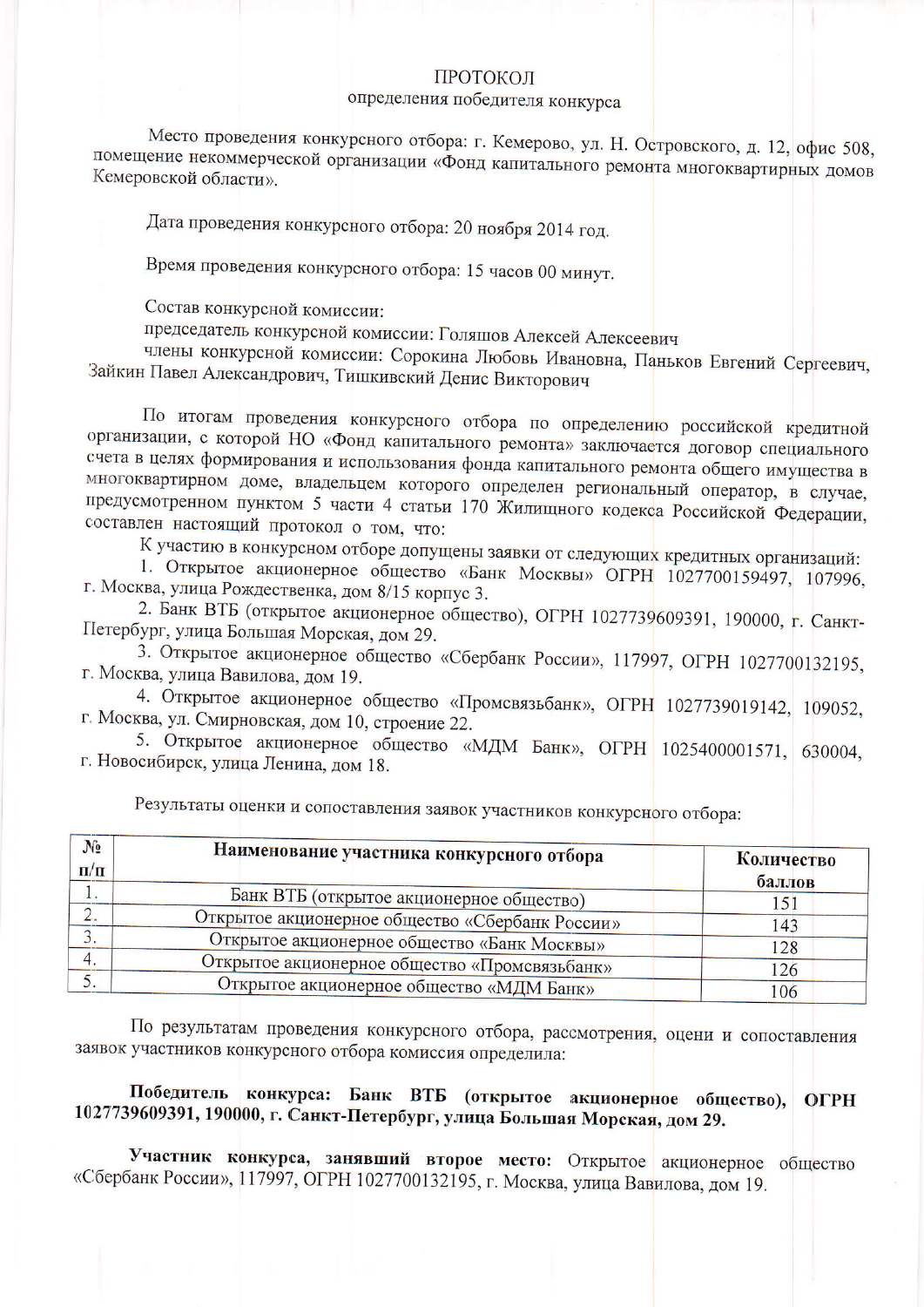## ПРОТОКОЛ

## определения победителя конкурса

Место проведения конкурсного отбора: г. Кемерово, ул. Н. Островского, д. 12, офис 508, помещение некоммерческой организации «Фонд капитального ремонта многоквартирных домов Кемеровской области».

Дата проведения конкурсного отбора: 20 ноября 2014 год.

Время проведения конкурсного отбора: 15 часов 00 минут.

Состав конкурсной комиссии:

председатель конкурсной комиссии: Голяшов Алексей Алексеевич

члены конкурсной комиссии: Сорокина Любовь Ивановна, Паньков Евгений Сергеевич, Зайкин Павел Александрович, Тишкивский Денис Викторович

По итогам проведения конкурсного отбора по определению российской кредитной организации, с которой НО «Фонд капитального ремонта» заключается договор специального счета в целях формирования и использования фонда капитального ремонта общего имущества в многоквартирном доме, владельцем которого определен региональный оператор, в случае, предусмотренном пунктом 5 части 4 статьи 170 Жилищного кодекса Российской Федерации, составлен настоящий протокол о том, что:

К участию в конкурсном отборе допущены заявки от следующих кредитных организаций:

1. Открытое акционерное общество «Банк Москвы» ОГРН 1027700159497, 107996, г. Москва, улица Рождественка, дом 8/15 корпус 3.

2. Банк ВТБ (открытое акционерное общество), ОГРН 1027739609391, 190000, г. Санкт-Петербург, улица Большая Морская, дом 29.

3. Открытое акционерное общество «Сбербанк России», 117997, ОГРН 1027700132195, г. Москва, улица Вавилова, дом 19.

4. Открытое акционерное общество «Промсвязьбанк», ОГРН 1027739019142, 109052, г. Москва, ул. Смирновская, дом 10, строение 22.

5. Открытое акционерное общество «МДМ Банк», ОГРН 1025400001571, 630004, г. Новосибирск, улица Ленина, дом 18.

| $N_2$<br>$\mathbf{n}/\mathbf{n}$ | Наименование участника конкурсного отбора       | Количество<br>баллов |
|----------------------------------|-------------------------------------------------|----------------------|
|                                  | Банк ВТБ (открытое акционерное общество)        | 151                  |
|                                  | Открытое акционерное общество «Сбербанк России» | 143                  |
|                                  | Открытое акционерное общество «Банк Москвы»     | 128                  |
|                                  | Открытое акционерное общество «Промсвязьбанк»   | 126                  |
|                                  | Открытое акционерное общество «МДМ Банк»        | 106                  |

Результаты оценки и сопоставления заявок участников конкурсного отбора:

По результатам проведения конкурсного отбора, рассмотрения, оцени и сопоставления заявок участников конкурсного отбора комиссия определила:

## Победитель конкурса: Банк ВТБ (открытое акционерное общество), **OFPH** 1027739609391, 190000, г. Санкт-Петербург, улица Большая Морская, дом 29.

Участник конкурса, занявший второе место: Открытое акционерное общество «Сбербанк России», 117997, ОГРН 1027700132195, г. Москва, улица Вавилова, дом 19.